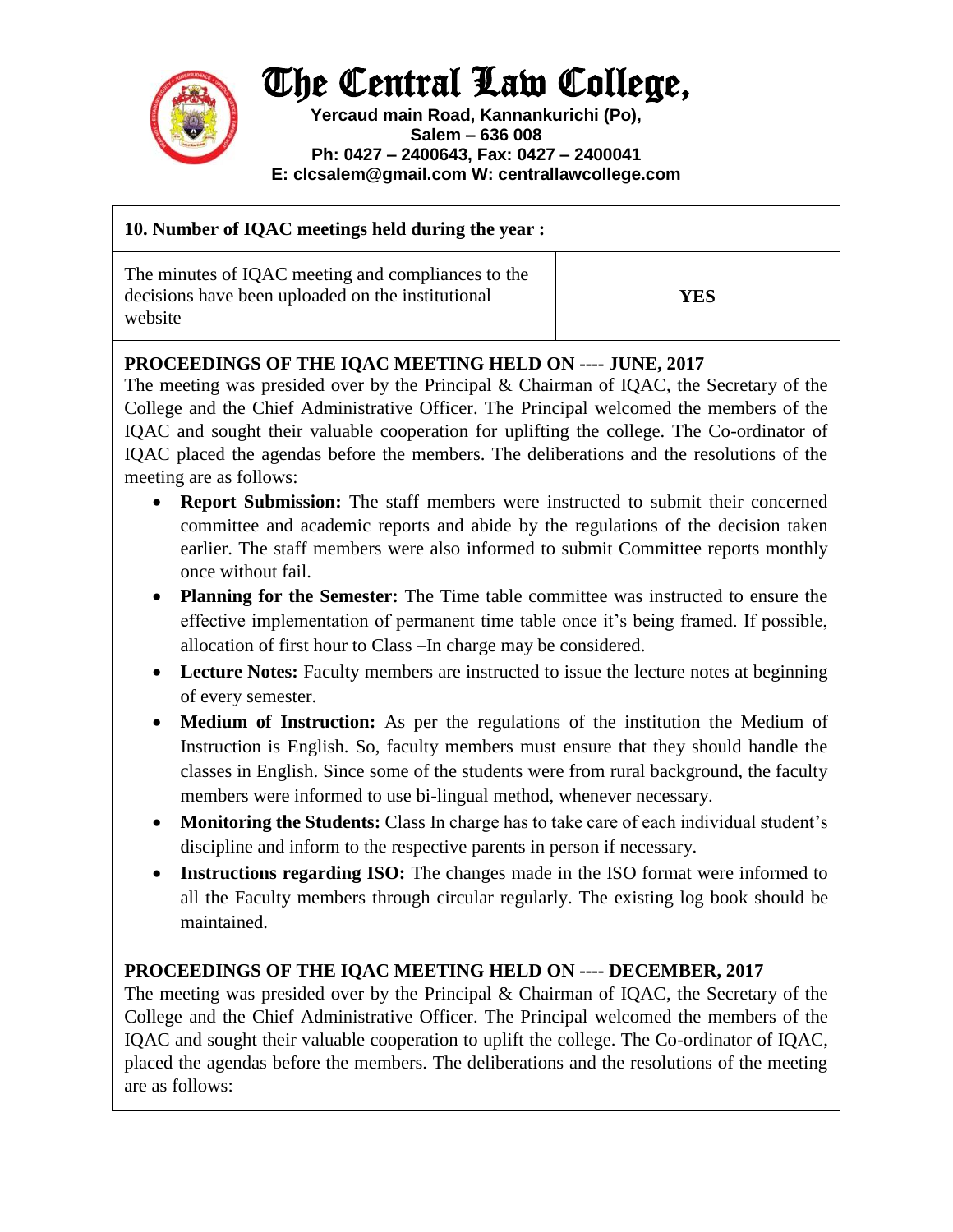## The Central Law College,



**Yercaud main Road, Kannankurichi (Po), Salem – 636 008 Ph: 0427 – 2400643, Fax: 0427 – 2400041 E: clcsalem@gmail.com W: centrallawcollege.com**

| 10. Number of IQAC meetings held during the year :                                                                 |     |
|--------------------------------------------------------------------------------------------------------------------|-----|
| The minutes of IQAC meeting and compliances to the<br>decisions have been uploaded on the institutional<br>website | YES |

## **PROCEEDINGS OF THE IQAC MEETING HELD ON ---- JUNE, 2017**

The meeting was presided over by the Principal & Chairman of IQAC, the Secretary of the College and the Chief Administrative Officer. The Principal welcomed the members of the IQAC and sought their valuable cooperation for uplifting the college. The Co-ordinator of IQAC placed the agendas before the members. The deliberations and the resolutions of the meeting are as follows:

- **Report Submission:** The staff members were instructed to submit their concerned committee and academic reports and abide by the regulations of the decision taken earlier. The staff members were also informed to submit Committee reports monthly once without fail.
- **Planning for the Semester:** The Time table committee was instructed to ensure the effective implementation of permanent time table once it's being framed. If possible, allocation of first hour to Class –In charge may be considered.
- **Lecture Notes:** Faculty members are instructed to issue the lecture notes at beginning of every semester.
- **Medium of Instruction:** As per the regulations of the institution the Medium of Instruction is English. So, faculty members must ensure that they should handle the classes in English. Since some of the students were from rural background, the faculty members were informed to use bi-lingual method, whenever necessary.
- **Monitoring the Students:** Class In charge has to take care of each individual student's discipline and inform to the respective parents in person if necessary.
- **Instructions regarding ISO:** The changes made in the ISO format were informed to all the Faculty members through circular regularly. The existing log book should be maintained.

## **PROCEEDINGS OF THE IQAC MEETING HELD ON ---- DECEMBER, 2017**

The meeting was presided over by the Principal & Chairman of IQAC, the Secretary of the College and the Chief Administrative Officer. The Principal welcomed the members of the IQAC and sought their valuable cooperation to uplift the college. The Co-ordinator of IQAC, placed the agendas before the members. The deliberations and the resolutions of the meeting are as follows: